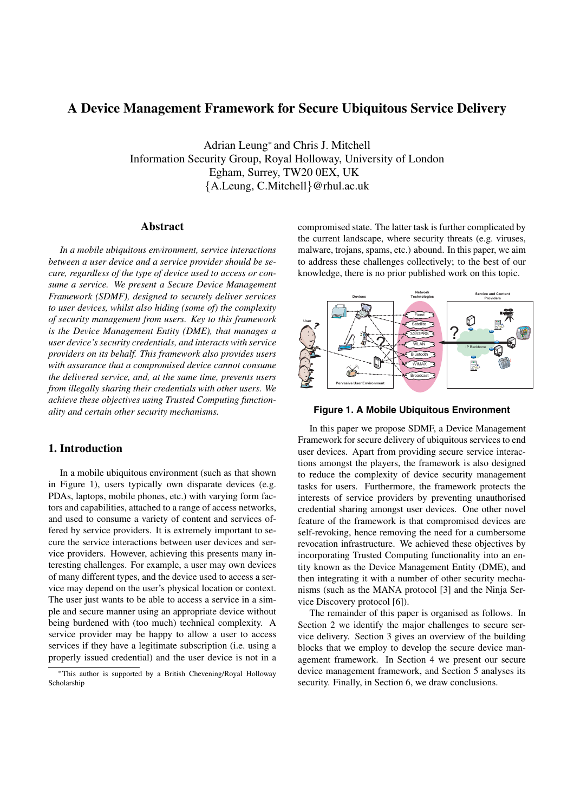# **A Device Management Framework for Secure Ubiquitous Service Delivery**

Adrian Leung<sup>∗</sup> and Chris J. Mitchell Information Security Group, Royal Holloway, University of London Egham, Surrey, TW20 0EX, UK {A.Leung, C.Mitchell}@rhul.ac.uk

# **Abstract**

*In a mobile ubiquitous environment, service interactions between a user device and a service provider should be secure, regardless of the type of device used to access or consume a service. We present a Secure Device Management Framework (SDMF), designed to securely deliver services to user devices, whilst also hiding (some of) the complexity of security management from users. Key to this framework is the Device Management Entity (DME), that manages a user device's security credentials, and interacts with service providers on its behalf. This framework also provides users with assurance that a compromised device cannot consume the delivered service, and, at the same time, prevents users from illegally sharing their credentials with other users. We achieve these objectives using Trusted Computing functionality and certain other security mechanisms.*

# **1. Introduction**

In a mobile ubiquitous environment (such as that shown in Figure 1), users typically own disparate devices (e.g. PDAs, laptops, mobile phones, etc.) with varying form factors and capabilities, attached to a range of access networks, and used to consume a variety of content and services offered by service providers. It is extremely important to secure the service interactions between user devices and service providers. However, achieving this presents many interesting challenges. For example, a user may own devices of many different types, and the device used to access a service may depend on the user's physical location or context. The user just wants to be able to access a service in a simple and secure manner using an appropriate device without being burdened with (too much) technical complexity. A service provider may be happy to allow a user to access services if they have a legitimate subscription (i.e. using a properly issued credential) and the user device is not in a compromised state. The latter task is further complicated by the current landscape, where security threats (e.g. viruses, malware, trojans, spams, etc.) abound. In this paper, we aim to address these challenges collectively; to the best of our knowledge, there is no prior published work on this topic.





In this paper we propose SDMF, a Device Management Framework for secure delivery of ubiquitous services to end user devices. Apart from providing secure service interactions amongst the players, the framework is also designed to reduce the complexity of device security management tasks for users. Furthermore, the framework protects the interests of service providers by preventing unauthorised credential sharing amongst user devices. One other novel feature of the framework is that compromised devices are self-revoking, hence removing the need for a cumbersome revocation infrastructure. We achieved these objectives by incorporating Trusted Computing functionality into an entity known as the Device Management Entity (DME), and then integrating it with a number of other security mechanisms (such as the MANA protocol [3] and the Ninja Service Discovery protocol [6]).

The remainder of this paper is organised as follows. In Section 2 we identify the major challenges to secure service delivery. Section 3 gives an overview of the building blocks that we employ to develop the secure device management framework. In Section 4 we present our secure device management framework, and Section 5 analyses its security. Finally, in Section 6, we draw conclusions.

<sup>∗</sup>This author is supported by a British Chevening/Royal Holloway Scholarship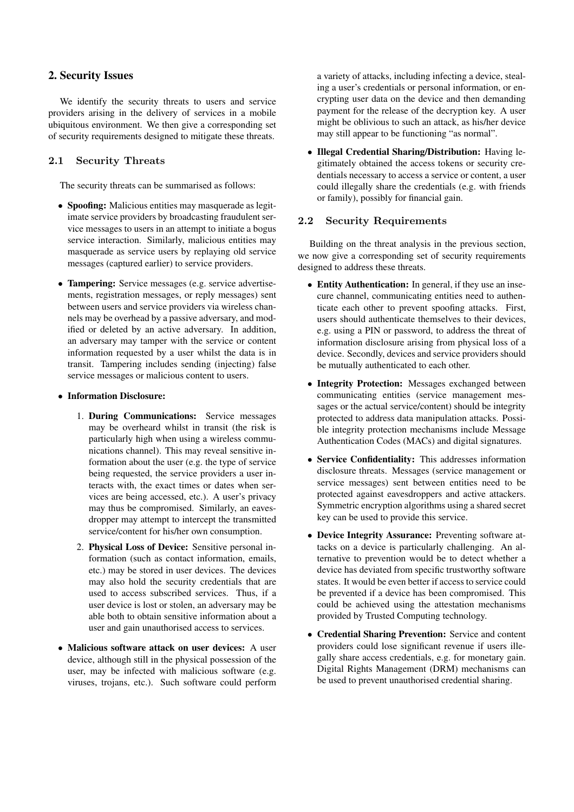# **2. Security Issues**

We identify the security threats to users and service providers arising in the delivery of services in a mobile ubiquitous environment. We then give a corresponding set of security requirements designed to mitigate these threats.

# **2.1 Security Threats**

The security threats can be summarised as follows:

- **Spoofing:** Malicious entities may masquerade as legitimate service providers by broadcasting fraudulent service messages to users in an attempt to initiate a bogus service interaction. Similarly, malicious entities may masquerade as service users by replaying old service messages (captured earlier) to service providers.
- **Tampering:** Service messages (e.g. service advertisements, registration messages, or reply messages) sent between users and service providers via wireless channels may be overhead by a passive adversary, and modified or deleted by an active adversary. In addition, an adversary may tamper with the service or content information requested by a user whilst the data is in transit. Tampering includes sending (injecting) false service messages or malicious content to users.

#### • **Information Disclosure:**

- 1. **During Communications:** Service messages may be overheard whilst in transit (the risk is particularly high when using a wireless communications channel). This may reveal sensitive information about the user (e.g. the type of service being requested, the service providers a user interacts with, the exact times or dates when services are being accessed, etc.). A user's privacy may thus be compromised. Similarly, an eavesdropper may attempt to intercept the transmitted service/content for his/her own consumption.
- 2. **Physical Loss of Device:** Sensitive personal information (such as contact information, emails, etc.) may be stored in user devices. The devices may also hold the security credentials that are used to access subscribed services. Thus, if a user device is lost or stolen, an adversary may be able both to obtain sensitive information about a user and gain unauthorised access to services.
- **Malicious software attack on user devices:** A user device, although still in the physical possession of the user, may be infected with malicious software (e.g. viruses, trojans, etc.). Such software could perform

a variety of attacks, including infecting a device, stealing a user's credentials or personal information, or encrypting user data on the device and then demanding payment for the release of the decryption key. A user might be oblivious to such an attack, as his/her device may still appear to be functioning "as normal".

• **Illegal Credential Sharing/Distribution:** Having legitimately obtained the access tokens or security credentials necessary to access a service or content, a user could illegally share the credentials (e.g. with friends or family), possibly for financial gain.

#### **2.2 Security Requirements**

Building on the threat analysis in the previous section, we now give a corresponding set of security requirements designed to address these threats.

- **Entity Authentication:** In general, if they use an insecure channel, communicating entities need to authenticate each other to prevent spoofing attacks. First, users should authenticate themselves to their devices, e.g. using a PIN or password, to address the threat of information disclosure arising from physical loss of a device. Secondly, devices and service providers should be mutually authenticated to each other.
- **Integrity Protection:** Messages exchanged between communicating entities (service management messages or the actual service/content) should be integrity protected to address data manipulation attacks. Possible integrity protection mechanisms include Message Authentication Codes (MACs) and digital signatures.
- **Service Confidentiality:** This addresses information disclosure threats. Messages (service management or service messages) sent between entities need to be protected against eavesdroppers and active attackers. Symmetric encryption algorithms using a shared secret key can be used to provide this service.
- **Device Integrity Assurance:** Preventing software attacks on a device is particularly challenging. An alternative to prevention would be to detect whether a device has deviated from specific trustworthy software states. It would be even better if access to service could be prevented if a device has been compromised. This could be achieved using the attestation mechanisms provided by Trusted Computing technology.
- **Credential Sharing Prevention:** Service and content providers could lose significant revenue if users illegally share access credentials, e.g. for monetary gain. Digital Rights Management (DRM) mechanisms can be used to prevent unauthorised credential sharing.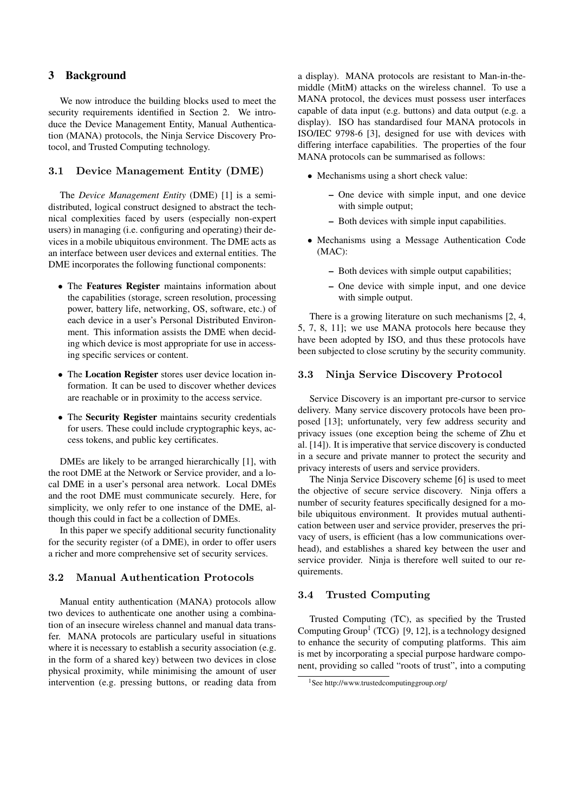# **3 Background**

We now introduce the building blocks used to meet the security requirements identified in Section 2. We introduce the Device Management Entity, Manual Authentication (MANA) protocols, the Ninja Service Discovery Protocol, and Trusted Computing technology.

#### **3.1 Device Management Entity (DME)**

The *Device Management Entity* (DME) [1] is a semidistributed, logical construct designed to abstract the technical complexities faced by users (especially non-expert users) in managing (i.e. configuring and operating) their devices in a mobile ubiquitous environment. The DME acts as an interface between user devices and external entities. The DME incorporates the following functional components:

- The **Features Register** maintains information about the capabilities (storage, screen resolution, processing power, battery life, networking, OS, software, etc.) of each device in a user's Personal Distributed Environment. This information assists the DME when deciding which device is most appropriate for use in accessing specific services or content.
- The **Location Register** stores user device location information. It can be used to discover whether devices are reachable or in proximity to the access service.
- The **Security Register** maintains security credentials for users. These could include cryptographic keys, access tokens, and public key certificates.

DMEs are likely to be arranged hierarchically [1], with the root DME at the Network or Service provider, and a local DME in a user's personal area network. Local DMEs and the root DME must communicate securely. Here, for simplicity, we only refer to one instance of the DME, although this could in fact be a collection of DMEs.

In this paper we specify additional security functionality for the security register (of a DME), in order to offer users a richer and more comprehensive set of security services.

#### **3.2 Manual Authentication Protocols**

Manual entity authentication (MANA) protocols allow two devices to authenticate one another using a combination of an insecure wireless channel and manual data transfer. MANA protocols are particulary useful in situations where it is necessary to establish a security association (e.g. in the form of a shared key) between two devices in close physical proximity, while minimising the amount of user intervention (e.g. pressing buttons, or reading data from a display). MANA protocols are resistant to Man-in-themiddle (MitM) attacks on the wireless channel. To use a MANA protocol, the devices must possess user interfaces capable of data input (e.g. buttons) and data output (e.g. a display). ISO has standardised four MANA protocols in ISO/IEC 9798-6 [3], designed for use with devices with differing interface capabilities. The properties of the four MANA protocols can be summarised as follows:

- Mechanisms using a short check value:
	- **–** One device with simple input, and one device with simple output;
	- **–** Both devices with simple input capabilities.
- Mechanisms using a Message Authentication Code (MAC):
	- **–** Both devices with simple output capabilities;
	- **–** One device with simple input, and one device with simple output.

There is a growing literature on such mechanisms [2, 4, 5, 7, 8, 11]; we use MANA protocols here because they have been adopted by ISO, and thus these protocols have been subjected to close scrutiny by the security community.

#### **3.3 Ninja Service Discovery Protocol**

Service Discovery is an important pre-cursor to service delivery. Many service discovery protocols have been proposed [13]; unfortunately, very few address security and privacy issues (one exception being the scheme of Zhu et al. [14]). It is imperative that service discovery is conducted in a secure and private manner to protect the security and privacy interests of users and service providers.

The Ninja Service Discovery scheme [6] is used to meet the objective of secure service discovery. Ninja offers a number of security features specifically designed for a mobile ubiquitous environment. It provides mutual authentication between user and service provider, preserves the privacy of users, is efficient (has a low communications overhead), and establishes a shared key between the user and service provider. Ninja is therefore well suited to our requirements.

#### **3.4 Trusted Computing**

Trusted Computing (TC), as specified by the Trusted Computing Group<sup>1</sup> (TCG) [9, 12], is a technology designed to enhance the security of computing platforms. This aim is met by incorporating a special purpose hardware component, providing so called "roots of trust", into a computing

<sup>1</sup>See http://www.trustedcomputinggroup.org/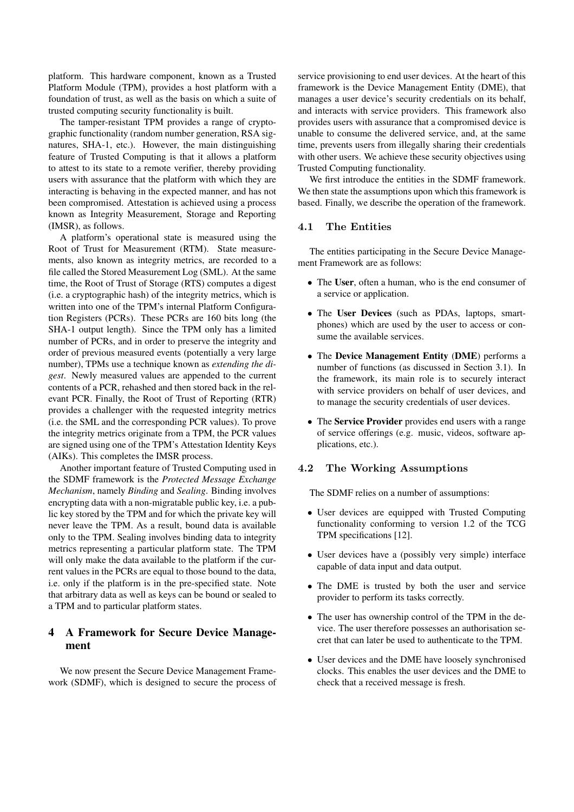platform. This hardware component, known as a Trusted Platform Module (TPM), provides a host platform with a foundation of trust, as well as the basis on which a suite of trusted computing security functionality is built.

The tamper-resistant TPM provides a range of cryptographic functionality (random number generation, RSA signatures, SHA-1, etc.). However, the main distinguishing feature of Trusted Computing is that it allows a platform to attest to its state to a remote verifier, thereby providing users with assurance that the platform with which they are interacting is behaving in the expected manner, and has not been compromised. Attestation is achieved using a process known as Integrity Measurement, Storage and Reporting (IMSR), as follows.

A platform's operational state is measured using the Root of Trust for Measurement (RTM). State measurements, also known as integrity metrics, are recorded to a file called the Stored Measurement Log (SML). At the same time, the Root of Trust of Storage (RTS) computes a digest (i.e. a cryptographic hash) of the integrity metrics, which is written into one of the TPM's internal Platform Configuration Registers (PCRs). These PCRs are 160 bits long (the SHA-1 output length). Since the TPM only has a limited number of PCRs, and in order to preserve the integrity and order of previous measured events (potentially a very large number), TPMs use a technique known as *extending the digest*. Newly measured values are appended to the current contents of a PCR, rehashed and then stored back in the relevant PCR. Finally, the Root of Trust of Reporting (RTR) provides a challenger with the requested integrity metrics (i.e. the SML and the corresponding PCR values). To prove the integrity metrics originate from a TPM, the PCR values are signed using one of the TPM's Attestation Identity Keys (AIKs). This completes the IMSR process.

Another important feature of Trusted Computing used in the SDMF framework is the *Protected Message Exchange Mechanism*, namely *Binding* and *Sealing*. Binding involves encrypting data with a non-migratable public key, i.e. a public key stored by the TPM and for which the private key will never leave the TPM. As a result, bound data is available only to the TPM. Sealing involves binding data to integrity metrics representing a particular platform state. The TPM will only make the data available to the platform if the current values in the PCRs are equal to those bound to the data, i.e. only if the platform is in the pre-specified state. Note that arbitrary data as well as keys can be bound or sealed to a TPM and to particular platform states.

# **4 A Framework for Secure Device Management**

We now present the Secure Device Management Framework (SDMF), which is designed to secure the process of service provisioning to end user devices. At the heart of this framework is the Device Management Entity (DME), that manages a user device's security credentials on its behalf, and interacts with service providers. This framework also provides users with assurance that a compromised device is unable to consume the delivered service, and, at the same time, prevents users from illegally sharing their credentials with other users. We achieve these security objectives using Trusted Computing functionality.

We first introduce the entities in the SDMF framework. We then state the assumptions upon which this framework is based. Finally, we describe the operation of the framework.

# **4.1 The Entities**

The entities participating in the Secure Device Management Framework are as follows:

- The **User**, often a human, who is the end consumer of a service or application.
- The **User Devices** (such as PDAs, laptops, smartphones) which are used by the user to access or consume the available services.
- The **Device Management Entity** (**DME**) performs a number of functions (as discussed in Section 3.1). In the framework, its main role is to securely interact with service providers on behalf of user devices, and to manage the security credentials of user devices.
- The **Service Provider** provides end users with a range of service offerings (e.g. music, videos, software applications, etc.).

## **4.2 The Working Assumptions**

The SDMF relies on a number of assumptions:

- User devices are equipped with Trusted Computing functionality conforming to version 1.2 of the TCG TPM specifications [12].
- User devices have a (possibly very simple) interface capable of data input and data output.
- The DME is trusted by both the user and service provider to perform its tasks correctly.
- The user has ownership control of the TPM in the device. The user therefore possesses an authorisation secret that can later be used to authenticate to the TPM.
- User devices and the DME have loosely synchronised clocks. This enables the user devices and the DME to check that a received message is fresh.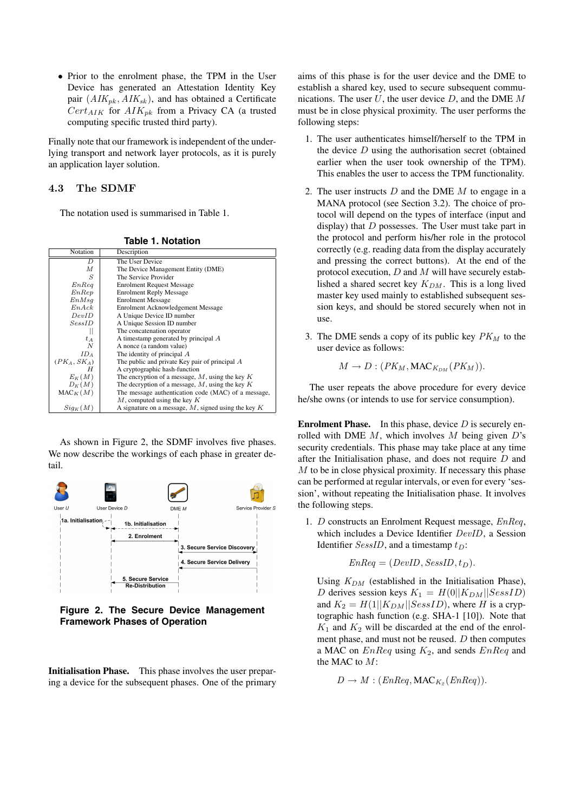• Prior to the enrolment phase, the TPM in the User Device has generated an Attestation Identity Key pair  $(AIK_{pk}, AIK_{sk})$ , and has obtained a Certificate  $Cert_{AIK}$  for  $AIK_{pk}$  from a Privacy CA (a trusted computing specific trusted third party).

Finally note that our framework is independent of the underlying transport and network layer protocols, as it is purely an application layer solution.

# **4.3 The SDMF**

The notation used is summarised in Table 1.

| Notation         | Description                                              |
|------------------|----------------------------------------------------------|
| D                | The User Device                                          |
| $\boldsymbol{M}$ | The Device Management Entity (DME)                       |
| S                | The Service Provider                                     |
| EnReq            | <b>Enrolment Request Message</b>                         |
| EnRep            | <b>Enrolment Reply Message</b>                           |
| EnMsq            | <b>Enrolment Message</b>                                 |
| EnAck            | <b>Enrolment Acknowledgement Message</b>                 |
| DevID            | A Unique Device ID number                                |
| SessID           | A Unique Session ID number                               |
|                  | The concatenation operator                               |
| $t_A$            | A timestamp generated by principal A                     |
| $\overline{N}$   | A nonce (a random value)                                 |
| ID <sub>A</sub>  | The identity of principal A                              |
| $(PK_A, SK_A)$   | The public and private Key pair of principal A           |
| H                | A cryptographic hash-function                            |
| $E_K(M)$         | The encryption of a message, $M$ , using the key $K$     |
| $D_K(M)$         | The decryption of a message, $M$ , using the key $K$     |
| $MAC_K(M)$       | The message authentication code (MAC) of a message,      |
|                  | $M$ , computed using the key $K$                         |
| $Sig_K(M)$       | A signature on a message, $M$ , signed using the key $K$ |
|                  |                                                          |

**Table 1. Notation**

As shown in Figure 2, the SDMF involves five phases. We now describe the workings of each phase in greater detail.



**Figure 2. The Secure Device Management Framework Phases of Operation**

**Initialisation Phase.** This phase involves the user preparing a device for the subsequent phases. One of the primary aims of this phase is for the user device and the DME to establish a shared key, used to secure subsequent communications. The user *U*, the user device *D*, and the DME *M* must be in close physical proximity. The user performs the following steps:

- 1. The user authenticates himself/herself to the TPM in the device *D* using the authorisation secret (obtained earlier when the user took ownership of the TPM). This enables the user to access the TPM functionality.
- 2. The user instructs *D* and the DME *M* to engage in a MANA protocol (see Section 3.2). The choice of protocol will depend on the types of interface (input and display) that *D* possesses. The User must take part in the protocol and perform his/her role in the protocol correctly (e.g. reading data from the display accurately and pressing the correct buttons). At the end of the protocol execution, *D* and *M* will have securely established a shared secret key  $K_{DM}$ . This is a long lived master key used mainly to established subsequent session keys, and should be stored securely when not in use.
- 3. The DME sends a copy of its public key *PKM* to the user device as follows:

$$
M \to D : (PK_M, \text{MAC}_{K_{DM}}(PK_M)).
$$

The user repeats the above procedure for every device he/she owns (or intends to use for service consumption).

**Enrolment Phase.** In this phase, device *D* is securely enrolled with DME *M*, which involves *M* being given *D*'s security credentials. This phase may take place at any time after the Initialisation phase, and does not require *D* and *M* to be in close physical proximity. If necessary this phase can be performed at regular intervals, or even for every 'session', without repeating the Initialisation phase. It involves the following steps.

1. *<sup>D</sup>* constructs an Enrolment Request message, *EnReq*, which includes a Device Identifier *DevID*, a Session Identifier *SessID*, and a timestamp *<sup>t</sup>D*:

$$
EnReq = (DevID, SessID, t_D).
$$

Using  $K_{DM}$  (established in the Initialisation Phase), *D* derives session keys  $K_1 = H(0||K_{DM}||SessID)$ and  $K_2 = H(1||K_{DM}||SessID)$ , where *H* is a cryptographic hash function (e.g. SHA-1 [10]). Note that  $K_1$  and  $K_2$  will be discarded at the end of the enrolment phase, and must not be reused. *D* then computes a MAC on *EnReq* using *K*2, and sends *EnReq* and the MAC to *M*:

$$
D \to M : (EnReg, MAC_{K_2}(EnReg)).
$$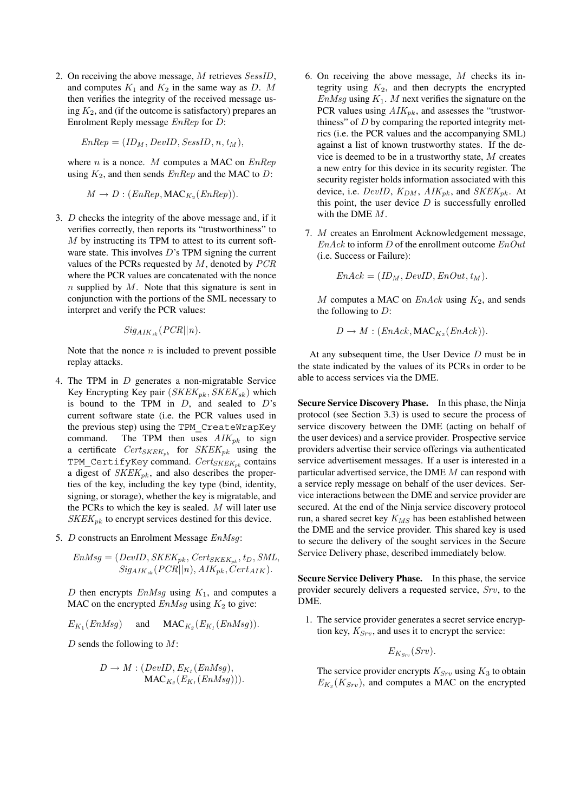2. On receiving the above message, *<sup>M</sup>* retrieves *SessID*, and computes  $K_1$  and  $K_2$  in the same way as *D*. *M* then verifies the integrity of the received message using *K*2, and (if the outcome is satisfactory) prepares an Enrolment Reply message *EnRep* for *<sup>D</sup>*:

$$
EnRep = (ID_M, DevID, SessID, n, t_M),
$$

where *<sup>n</sup>* is a nonce. *<sup>M</sup>* computes a MAC on *EnRep* using  $K_2$ , and then sends  $EnRep$  and the MAC to *D*:

$$
M \to D : (EnRep, MAC_{K_2}(EnRep)).
$$

3. *D* checks the integrity of the above message and, if it verifies correctly, then reports its "trustworthiness" to *M* by instructing its TPM to attest to its current software state. This involves *D*'s TPM signing the current values of the PCRs requested by *<sup>M</sup>*, denoted by *PCR* where the PCR values are concatenated with the nonce *n* supplied by *M*. Note that this signature is sent in conjunction with the portions of the SML necessary to interpret and verify the PCR values:

$$
Sig_{AIK_{sk}}(PCR||n).
$$

Note that the nonce *n* is included to prevent possible replay attacks.

- 4. The TPM in *D* generates a non-migratable Service Key Encrypting Key pair  $(SKEK_{pk}, SKEK_{sk})$  which is bound to the TPM in *D*, and sealed to *D*'s current software state (i.e. the PCR values used in the previous step) using the TPM\_CreateWrapKey command. The TPM then uses *AIKpk* to sign a certificate  $Cert_{SKEK_{nk}}$  for  $SKEK_{pk}$  using the TPM\_CertifyKey command. *CertSKEKpk* contains a digest of  $SKEK_{nk}$ , and also describes the properties of the key, including the key type (bind, identity, signing, or storage), whether the key is migratable, and the PCRs to which the key is sealed. *M* will later use *SKEKpk* to encrypt services destined for this device.
- 5. *<sup>D</sup>* constructs an Enrolment Message *EnMsg*:

$$
EnMsg = (DevID, SKEK_{pk}, Cert_{SKEK_{pk}}, t_D, SML, Sig_{AIK_{sk}}(PCR||n), AIK_{pk}, Cert_{AIK}).
$$

*<sup>D</sup>* then encrypts *EnMsg* using *<sup>K</sup>*1, and computes a MAC on the encrypted  $EnMsg$  using  $K_2$  to give:

 $E_{K_1}(EnMsg)$  and  $MAC_{K_2}(E_{K_1}(EnMsg)).$ 

*D* sends the following to *M*:

$$
D \to M : (DevID, E_{K_1}(EnMsg),\mathrm{MAC}_{K_2}(E_{K_1}(EnMsg))).
$$

- 6. On receiving the above message, *M* checks its integrity using  $K_2$ , and then decrypts the encrypted *EnMsg* using  $K_1$ . *M* next verifies the signature on the PCR values using  $AIK_{pk}$ , and assesses the "trustworthiness" of *D* by comparing the reported integrity metrics (i.e. the PCR values and the accompanying SML) against a list of known trustworthy states. If the device is deemed to be in a trustworthy state, *M* creates a new entry for this device in its security register. The security register holds information associated with this device, i.e.  $DevID$ ,  $K_{DM}$ ,  $AIK_{pk}$ , and  $SKEK_{pk}$ . At this point, the user device  $D$  is successfully enrolled with the DME *M*.
- 7. *M* creates an Enrolment Acknowledgement message, *EnAck* to inform *<sup>D</sup>* of the enrollment outcome *EnOut* (i.e. Success or Failure):

$$
EnAck = (ID_M, DevID, EnOut, t_M).
$$

*<sup>M</sup>* computes a MAC on *EnAck* using *<sup>K</sup>*2, and sends the following to *D*:

$$
D \to M : (Enack, MAC_{K_2}(Enack)).
$$

At any subsequent time, the User Device *D* must be in the state indicated by the values of its PCRs in order to be able to access services via the DME.

**Secure Service Discovery Phase.** In this phase, the Ninja protocol (see Section 3.3) is used to secure the process of service discovery between the DME (acting on behalf of the user devices) and a service provider. Prospective service providers advertise their service offerings via authenticated service advertisement messages. If a user is interested in a particular advertised service, the DME *M* can respond with a service reply message on behalf of the user devices. Service interactions between the DME and service provider are secured. At the end of the Ninja service discovery protocol run, a shared secret key *<sup>K</sup>MS* has been established between the DME and the service provider. This shared key is used to secure the delivery of the sought services in the Secure Service Delivery phase, described immediately below.

**Secure Service Delivery Phase.** In this phase, the service provider securely delivers a requested service, *Srv*, to the DME.

1. The service provider generates a secret service encryption key,  $K_{Sru}$ , and uses it to encrypt the service:

$$
E_{K_{Srv}}(Srv).
$$

The service provider encrypts  $K_{Srv}$  using  $K_3$  to obtain  $E_{K_3}(K_{Srv})$ , and computes a MAC on the encrypted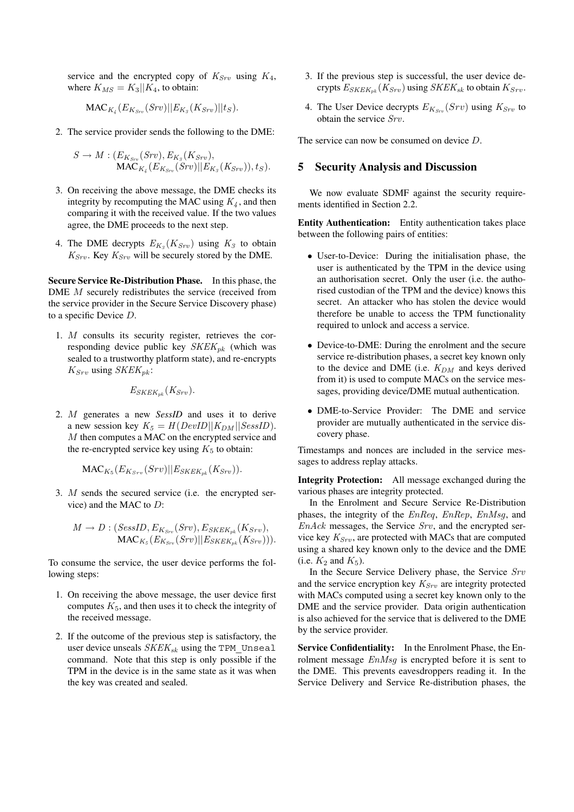service and the encrypted copy of  $K_{Srv}$  using  $K_4$ , where  $K_{MS} = K_3 || K_4$ , to obtain:

$$
MAC_{K_4}(E_{K_{Srv}}(Srv)||E_{K_3}(K_{Srv})||t_S).
$$

2. The service provider sends the following to the DME:

$$
S \to M: (E_{K_{Srv}}(Srv), E_{K_s}(K_{Srv}),
$$
  

$$
\text{MAC}_{K_4}(E_{K_{Srv}}(Srv)||E_{K_s}(K_{Srv})), t_S).
$$

- 3. On receiving the above message, the DME checks its integrity by recomputing the MAC using  $K_A$ , and then comparing it with the received value. If the two values agree, the DME proceeds to the next step.
- 4. The DME decrypts  $E_{K_3}(K_{Srv})$  using  $K_3$  to obtain  $K_{Srv}$ . Key  $K_{Srv}$  will be securely stored by the DME.

**Secure Service Re-Distribution Phase.** In this phase, the DME *M* securely redistributes the service (received from the service provider in the Secure Service Discovery phase) to a specific Device *D*.

1. *M* consults its security register, retrieves the corresponding device public key *SKEKpk* (which was sealed to a trustworthy platform state), and re-encrypts  $K_{Srv}$  using *SKEK*<sub>pk</sub>:

$$
E_{SKEK_{pk}}(K_{Srv}).
$$

2. *M* generates a new *SessID* and uses it to derive a new session key  $K_5 = H(DevID||K_{DM}||SessID)$ . *M* then computes a MAC on the encrypted service and the re-encrypted service key using  $K_5$  to obtain:

$$
\mathsf{MAC}_{K_5}(E_{K_{Srv}}(Srv)||E_{SKEK_{pk}}(K_{Srv})).
$$

3. *M* sends the secured service (i.e. the encrypted service) and the MAC to *D*:

$$
M \to D : (SessID, E_{K_{Srv}}(Srv), E_{SKEK_{pk}}(K_{Srv}),
$$
  

$$
\text{MAC}_{K_5}(E_{K_{Srv}}(Srv)||E_{SKEK_{pk}}(K_{Srv}))).
$$

To consume the service, the user device performs the following steps:

- 1. On receiving the above message, the user device first computes  $K_5$ , and then uses it to check the integrity of the received message.
- 2. If the outcome of the previous step is satisfactory, the user device unseals *SKEKsk* using the TPM\_Unseal command. Note that this step is only possible if the TPM in the device is in the same state as it was when the key was created and sealed.
- 3. If the previous step is successful, the user device decrypts  $E_{SKEK_{nk}}(K_{Srv})$  using  $SKEK_{sk}$  to obtain  $K_{Srv}$ .
- 4. The User Device decrypts  $E_{K_{S_{rv}}}(S_{rv})$  using  $K_{S_{rv}}$  to obtain the service *Srv*.

The service can now be consumed on device *D*.

#### **5 Security Analysis and Discussion**

We now evaluate SDMF against the security requirements identified in Section 2.2.

**Entity Authentication:** Entity authentication takes place between the following pairs of entities:

- User-to-Device: During the initialisation phase, the user is authenticated by the TPM in the device using an authorisation secret. Only the user (i.e. the authorised custodian of the TPM and the device) knows this secret. An attacker who has stolen the device would therefore be unable to access the TPM functionality required to unlock and access a service.
- Device-to-DME: During the enrolment and the secure service re-distribution phases, a secret key known only to the device and DME (i.e.  $K_{DM}$  and keys derived from it) is used to compute MACs on the service messages, providing device/DME mutual authentication.
- DME-to-Service Provider: The DME and service provider are mutually authenticated in the service discovery phase.

Timestamps and nonces are included in the service messages to address replay attacks.

**Integrity Protection:** All message exchanged during the various phases are integrity protected.

In the Enrolment and Secure Service Re-Distribution phases, the integrity of the *EnReq*, *EnRep*, *EnMsg*, and *EnAck* messages, the Service *Srv*, and the encrypted service key *<sup>K</sup>Srv* , are protected with MACs that are computed using a shared key known only to the device and the DME  $(i.e. K_2$  and  $K_5$ ).

In the Secure Service Delivery phase, the Service *Srv* and the service encryption key *<sup>K</sup>Srv* are integrity protected with MACs computed using a secret key known only to the DME and the service provider. Data origin authentication is also achieved for the service that is delivered to the DME by the service provider.

**Service Confidentiality:** In the Enrolment Phase, the Enrolment message *EnMsg* is encrypted before it is sent to the DME. This prevents eavesdroppers reading it. In the Service Delivery and Service Re-distribution phases, the